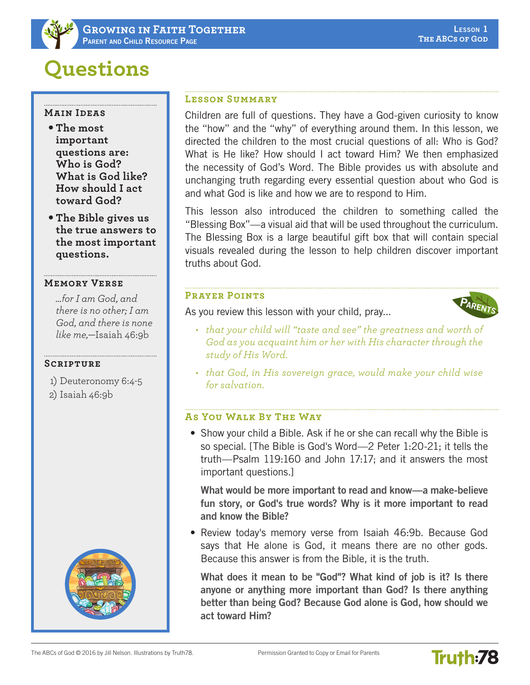# **Questions**

#### **Main Ideas**

- **The most important questions are: Who is God? What is God like? How should I act toward God?**
- **The Bible gives us the true answers to the most important questions.**

#### **Memory Verse**

*…for I am God, and there is no other; I am God, and there is none like me,*—Isaiah 46:9b

# **Scripture**

- 1) Deuteronomy 6:4-5
- 2) Isaiah 46:9b



# **Lesson Summary**

Children are full of questions. They have a God-given curiosity to know the "how" and the "why" of everything around them. In this lesson, we directed the children to the most crucial questions of all: Who is God? What is He like? How should I act toward Him? We then emphasized the necessity of God's Word. The Bible provides us with absolute and unchanging truth regarding every essential question about who God is and what God is like and how we are to respond to Him.

This lesson also introduced the children to something called the "Blessing Box"—a visual aid that will be used throughout the curriculum. The Blessing Box is a large beautiful gift box that will contain special visuals revealed during the lesson to help children discover important truths about God.

#### **Prayer Points**

As you review this lesson with your child, pray...



**Truth:78** 

- *• that your child will "taste and see" the greatness and worth of God as you acquaint him or her with His character through the study of His Word.*
- *• that God, in His sovereign grace, would make your child wise for salvation.*

# **As You Walk By The Way**

• Show your child a Bible. Ask if he or she can recall why the Bible is so special. [The Bible is God's Word—2 Peter 1:20-21; it tells the truth—Psalm 119:160 and John 17:17; and it answers the most important questions.]

What would be more important to read and know—a make-believe fun story, or God's true words? Why is it more important to read and know the Bible?

• Review today's memory verse from Isaiah 46:9b. Because God says that He alone is God, it means there are no other gods. Because this answer is from the Bible, it is the truth.

What does it mean to be "God"? What kind of job is it? Is there anyone or anything more important than God? Is there anything better than being God? Because God alone is God, how should we act toward Him?